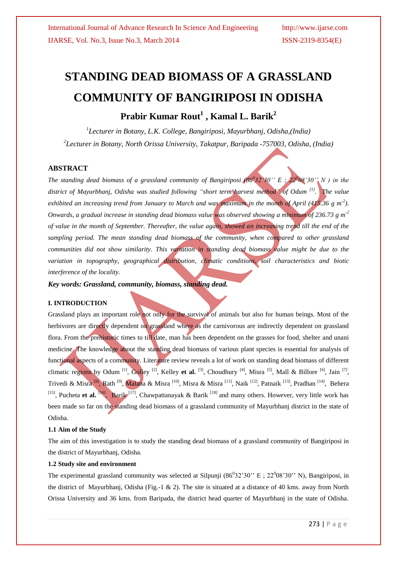# **STANDING DEAD BIOMASS OF A GRASSLAND COMMUNITY OF BANGIRIPOSI IN ODISHA**

# **Prabir Kumar Rout<sup>1</sup> , Kamal L. Barik<sup>2</sup>**

*1 Lecturer in Botany, L.K. College, Bangiriposi, Mayurbhanj, Odisha,(India) 2 Lecturer in Botany, North Orissa University, Takatpur, Baripada -757003, Odisha, (India)*

#### **ABSTRACT**

*The standing dead biomass of a grassland community of Bangiriposi (86<sup>0</sup> 32'30'' E ; 22<sup>0</sup> 08'30'' N ) in the district of Mayurbhanj, Odisha was studied following "short term harvest method" of Odum [1] . The value exhibited an increasing trend from January to March and was maximum in the month of April (415.36 g m -2 ). Onwards, a gradual increase in standing dead biomass value was observed showing a minimum of 236.73 g m-2 of value in the month of September. Thereafter, the value again, showed an increasing trend till the end of the sampling period. The mean standing dead biomass of the community, when compared to other grassland communities did not show similarity. This variation in standing dead biomass value might be due to the variation in topography, geographical distribution, climatic conditions, soil characteristics and biotic interference of the locality.*

*Key words: Grassland, community, biomass, standing dead.*

#### **I. INTRODUCTION**

Grassland plays an important role not only for the survival of animals but also for human beings. Most of the herbivores are directly dependent on grassland where as the carnivorous are indirectly dependent on grassland flora. From the prehistoric times to till date, man has been dependent on the grasses for food, shelter and unani medicine. The knowledge about the standing dead biomass of various plant species is essential for analysis of functional aspects of a community. Literature review reveals a lot of work on standing dead biomass of different climatic regions by Odum<sup>[1]</sup>, Golley<sup>[2]</sup>, Kelley et al.<sup>[3]</sup>, Choudhury<sup>[4]</sup>, Misra<sup>[5]</sup>, Mall & Billore<sup>[6]</sup>, Jain<sup>[7]</sup>, Trivedi & Misra<sup>[8]</sup>, Rath<sup>[9]</sup>, Malana & Misra<sup>[10]</sup>, Misra & Misra<sup>[11]</sup>, Naik<sup>[12]</sup>, Patnaik<sup>[13]</sup>, Pradhan<sup>[14]</sup>, Behera <sup>[15]</sup>, Pucheta et al. <sup>[16]</sup>, Barik<sup>[17]</sup>, Chawpattanayak & Barik<sup>[18]</sup> and many others. However, very little work has been made so far on the standing dead biomass of a grassland community of Mayurbhanj district in the state of Odisha.

#### **1.1 Aim of the Study**

The aim of this investigation is to study the standing dead biomass of a grassland community of Bangiriposi in the district of Mayurbhanj, Odisha.

#### **1.2 Study site and environment**

The experimental grassland community was selected at Silpunji  $(86^032^{\prime}30^{\prime\prime} \text{ E}; 22^008^{\prime}30^{\prime\prime} \text{ N})$ , Bangiriposi, in the district of Mayurbhani, Odisha (Fig.-1  $\&$  2). The site is situated at a distance of 40 kms, away from North Orissa University and 36 kms. from Baripada, the district head quarter of Mayurbhanj in the state of Odisha.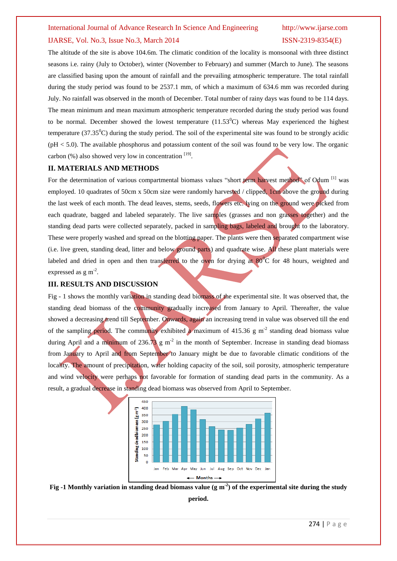# International Journal of Advance Research In Science And Engineering http://www.ijarse.com IJARSE, Vol. No.3, Issue No.3, March 2014 ISSN-2319-8354(E)

The altitude of the site is above 104.6m. The climatic condition of the locality is monsoonal with three distinct seasons i.e. rainy (July to October), winter (November to February) and summer (March to June). The seasons are classified basing upon the amount of rainfall and the prevailing atmospheric temperature. The total rainfall during the study period was found to be 2537.1 mm, of which a maximum of 634.6 mm was recorded during July. No rainfall was observed in the month of December. Total number of rainy days was found to be 114 days. The mean minimum and mean maximum atmospheric temperature recorded during the study period was found to be normal. December showed the lowest temperature  $(11.53^{\circ}C)$  whereas May experienced the highest temperature  $(37.35^{\circ}\text{C})$  during the study period. The soil of the experimental site was found to be strongly acidic (pH < 5.0). The available phosphorus and potassium content of the soil was found to be very low. The organic carbon  $(\%)$  also showed very low in concentration  $[19]$ .

#### **II. MATERIALS AND METHODS**

For the determination of various compartmental biomass values "short term harvest method" of Odum <sup>[1]</sup> was employed. 10 quadrates of 50cm x 50cm size were randomly harvested / clipped, 1cm above the ground during the last week of each month. The dead leaves, stems, seeds, flowers etc. lying on the ground were picked from each quadrate, bagged and labeled separately. The live samples (grasses and non grasses together) and the standing dead parts were collected separately, packed in sampling bags, labeled and brought to the laboratory. These were properly washed and spread on the blotting paper. The plants were then separated compartment wise (i.e. live green, standing dead, litter and below ground parts) and quadrate wise. All these plant materials were labeled and dried in open and then transferred to the oven for drying at  $80^{\circ}$ C for 48 hours, weighted and expressed as  $g m<sup>-2</sup>$ .

#### **III. RESULTS AND DISCUSSION**

Fig - 1 shows the monthly variation in standing dead biomass of the experimental site. It was observed that, the standing dead biomass of the community gradually increased from January to April. Thereafter, the value showed a decreasing trend till September. Onwards, again an increasing trend in value was observed till the end of the sampling period. The community exhibited a maximum of  $415.36 \text{ g m}^2$  standing dead biomass value during April and a minimum of 236.73  $\text{g m}^2$  in the month of September. Increase in standing dead biomass from January to April and from September to January might be due to favorable climatic conditions of the locality. The amount of precipitation, water holding capacity of the soil, soil porosity, atmospheric temperature and wind velocity were perhaps not favorable for formation of standing dead parts in the community. As a result, a gradual decrease in standing dead biomass was observed from April to September.





**period.**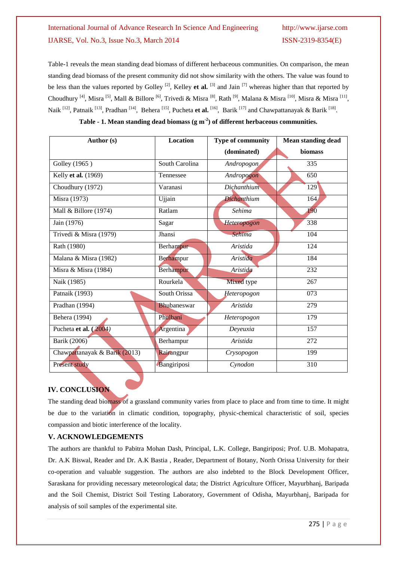## International Journal of Advance Research In Science And Engineering http://www.ijarse.com IJARSE, Vol. No.3, Issue No.3, March 2014 ISSN-2319-8354(E)

Table-1 reveals the mean standing dead biomass of different herbaceous communities. On comparison, the mean standing dead biomass of the present community did not show similarity with the others. The value was found to be less than the values reported by Golley<sup>[2]</sup>, Kelley et al. <sup>[3]</sup> and Jain<sup>[7]</sup> whereas higher than that reported by Choudhury <sup>[4]</sup>, Misra <sup>[5]</sup>, Mall & Billore <sup>[6]</sup>, Trivedi & Misra <sup>[8]</sup>, Rath <sup>[9]</sup>, Malana & Misra <sup>[10]</sup>, Misra & Misra <sup>[11]</sup>, Naik <sup>[12]</sup>, Patnaik <sup>[13]</sup>, Pradhan <sup>[14]</sup>, Behera <sup>[15]</sup>, Pucheta et al. <sup>[16]</sup>, Barik <sup>[17]</sup> and Chawpattanayak & Barik <sup>[18]</sup>.

| Author (s)                    | <b>Location</b>    | Type of community | <b>Mean standing dead</b> |
|-------------------------------|--------------------|-------------------|---------------------------|
|                               |                    | (dominated)       | biomass                   |
| Golley (1965)                 | South Carolina     | Andropogon        | 335                       |
| Kelly et al. (1969)           | Tennessee          | Andropogon        | 650                       |
| Choudhury (1972)              | Varanasi           | Dichanthium       | 129                       |
| Misra (1973)                  | Ujjain             | Dichanthium       | 164                       |
| Mall & Billore (1974)         | Ratlam             | Sehima            | 190                       |
| Jain (1976)                   | Sagar              | Heteropogon       | 338                       |
| Trivedi & Misra (1979)        | Jhansi             | Sehima            | 104                       |
| Rath (1980)                   | Berhampur          | Aristida          | 124                       |
| Malana & Misra (1982)         | Berhampur          | Aristida          | 184                       |
| Misra & Misra (1984)          | Berhampur          | Aristida          | 232                       |
| Naik (1985)                   | Rourkela           | Mixed type        | 267                       |
| Patnaik (1993)                | South Orissa       | Heteropogon       | 073                       |
| Pradhan (1994)                | <b>Bhubaneswar</b> | Aristida          | 279                       |
| Behera (1994)                 | Phulbani           | Heteropogon       | 179                       |
| Pucheta et al. (2004)         | Argentina          | Deyeuxia          | 157                       |
| Barik (2006)                  | Berhampur          | Aristida          | 272                       |
| Chawpattanayak & Barik (2013) | Rairangpur         | Crysopogon        | 199                       |
| Present study                 | Bangiriposi        | Cynodon           | 310                       |

#### **Table - 1. Mean standing dead biomass (g m-2 ) of different herbaceous communities.**

#### **IV. CONCLUSION**

The standing dead biomass of a grassland community varies from place to place and from time to time. It might be due to the variation in climatic condition, topography, physic-chemical characteristic of soil, species compassion and biotic interference of the locality.

#### **V. ACKNOWLEDGEMENTS**

The authors are thankful to Pabitra Mohan Dash, Principal, L.K. College, Bangiriposi; Prof. U.B. Mohapatra, Dr. A.K Biswal, Reader and Dr. A.K Bastia , Reader, Department of Botany, North Orissa University for their co-operation and valuable suggestion. The authors are also indebted to the Block Development Officer, Saraskana for providing necessary meteorological data; the District Agriculture Officer, Mayurbhanj, Baripada and the Soil Chemist, District Soil Testing Laboratory, Government of Odisha, Mayurbhanj, Baripada for analysis of soil samples of the experimental site.